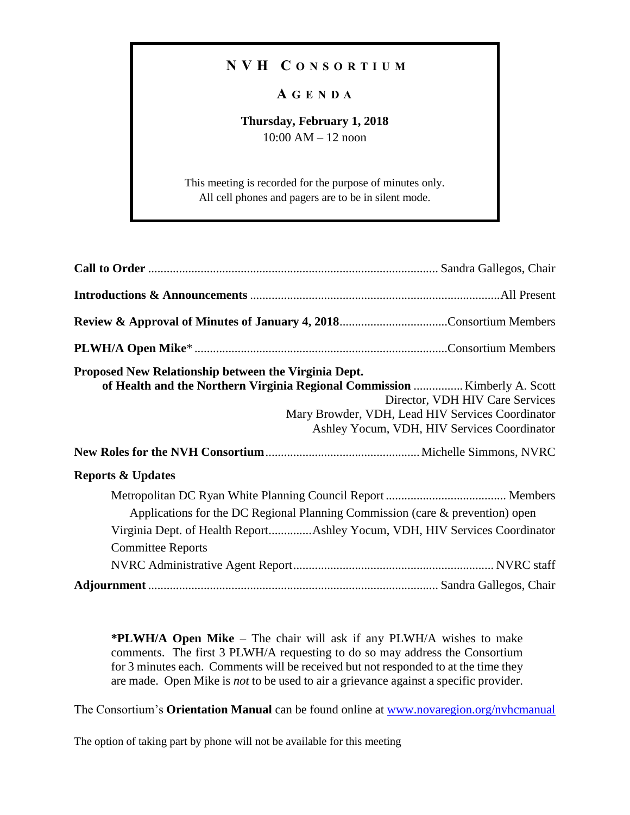## **N V H C O N S O R T I U M**

## **A G E N D A**

## **Thursday, February 1, 2018** 10:00 AM – 12 noon

This meeting is recorded for the purpose of minutes only. All cell phones and pagers are to be in silent mode.

| Proposed New Relationship between the Virginia Dept.<br>of Health and the Northern Virginia Regional Commission  Kimberly A. Scott                                                      | Director, VDH HIV Care Services<br>Mary Browder, VDH, Lead HIV Services Coordinator<br>Ashley Yocum, VDH, HIV Services Coordinator |
|-----------------------------------------------------------------------------------------------------------------------------------------------------------------------------------------|------------------------------------------------------------------------------------------------------------------------------------|
| <b>Reports &amp; Updates</b>                                                                                                                                                            |                                                                                                                                    |
| Applications for the DC Regional Planning Commission (care & prevention) open<br>Virginia Dept. of Health ReportAshley Yocum, VDH, HIV Services Coordinator<br><b>Committee Reports</b> |                                                                                                                                    |
|                                                                                                                                                                                         |                                                                                                                                    |

**\*PLWH/A Open Mike** – The chair will ask if any PLWH/A wishes to make comments. The first 3 PLWH/A requesting to do so may address the Consortium for 3 minutes each. Comments will be received but not responded to at the time they are made. Open Mike is *not* to be used to air a grievance against a specific provider.

The Consortium's **Orientation Manual** can be found online at [www.novaregion.org/nvhcmanual](http://www.novaregion.org/nvhcmanual)

The option of taking part by phone will not be available for this meeting